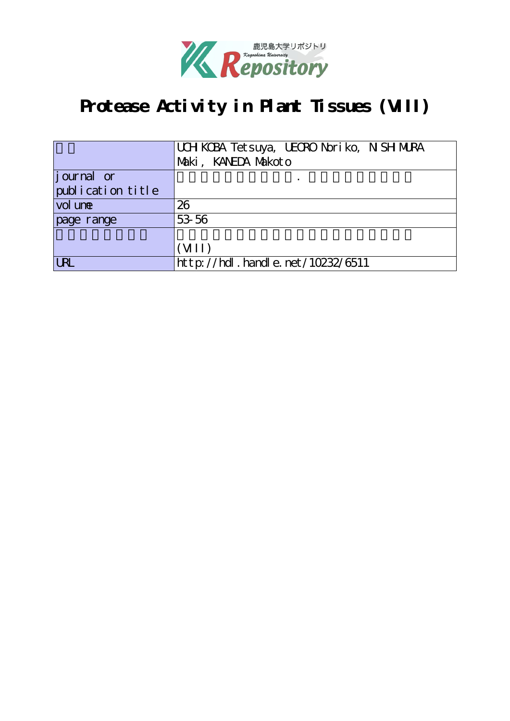

# **Protease Activity in Plant Tissues (VIII)**

|                   | UCH KCBA Tet suya, UECRO Nori ko, N SH MURA |  |  |
|-------------------|---------------------------------------------|--|--|
|                   | Maki, KANEDA Makoto                         |  |  |
| journal or        |                                             |  |  |
| publication title |                                             |  |  |
| vol une           | 26                                          |  |  |
| page range        | 53 56                                       |  |  |
|                   |                                             |  |  |
|                   | (VII)                                       |  |  |
| <b>URL</b>        | $http$ ://hdl. handle. net/10232/6511       |  |  |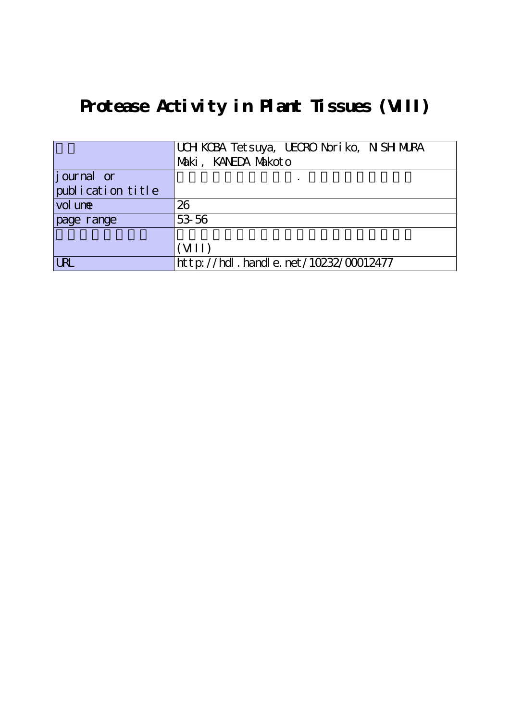# **Protease Activity in Plant Tissues (VIII)**

|                   | UCH KCBA Tet suya, UECRO Nori ko, N SH MURA |
|-------------------|---------------------------------------------|
|                   | Maki, KANEDA Makoto                         |
| journal or        |                                             |
| publication title |                                             |
| vol une           | 26                                          |
| page range        | 53 56                                       |
|                   |                                             |
|                   | (VII)                                       |
| URL               | $ht$ p: //hdl. handle. net /10232/00012477  |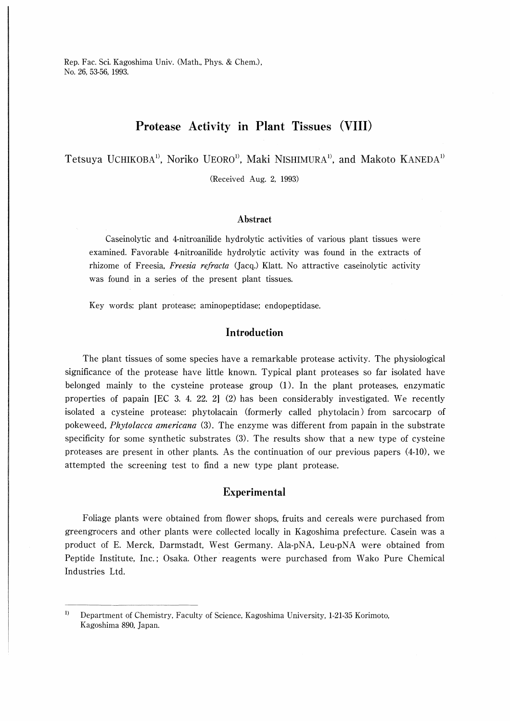Rep. Fac. Sci. Kagoshima Univ. (Math., Phys. & Chem.), No. 26, 53-56, 1993.

### Protease Activity in Plant Tissues (VIII)

Tetsuya UCHIKOBA<sup>1</sup>, Noriko UEORO<sup>1</sup>, Maki NISHIMURA<sup>1</sup>, and Makoto KANEDA<sup>1</sup>

(Received Aug. 2, 1993)

#### Abstract

Casemolytic and 4-nitroanilide hydrolytic activities of various plant tissues were examined. Favorable 4-nitroanilide hydrolytic activity was found in the extracts of rhizome of Freesia, Freesia refracta (Jacq.) Klatt. No attractive caseinolytic activity was found in a series of the present plant tissues.

Key words: plant protease; aminopeptidase; endopeptidase.

#### Introduction

The plant tissues of some species have a remarkable protease activity. The physiological significance of the protease have little known. Typical plant proteases so far isolated have belonged mainly to the cysteine protease group (1). In the plant proteases, enzymatic properties of papain 【EC 3. 4. 22. 21 (2) has been considerably investigated. We recently isolated a cysteine protease: phytolacain (formerly called phytolacin) from sarcocarp of pokeweed, Phytolacca americana (3). The enzyme was different from papain in the substrate specificity for some synthetic substrates (3). The results show that a new type of cysteine proteases are present in other plants. As the continuation of our previous papers (4-10), we attempted the screening test to find a new type plant protease.

#### Experimental

Foliage plants were obtained from flower shops, fruits and cereals were purchased from greengrocers and other plants were collected locally in Kagoshima prefecture. Casein was a product of E. Merck, Darmstadt, West Germany. Ala-PNA, Leu-PNA were obtained from Peptide Institute, Inc.; Osaka. Other reagents were purchased from Wako Pure Chemical Industries Ltd.

 $\bf{1}$ Department of Chemistry, Faculty of Science, Kagoshima University, 1-21-35 Korimoto, Kagoshima 890, Japan.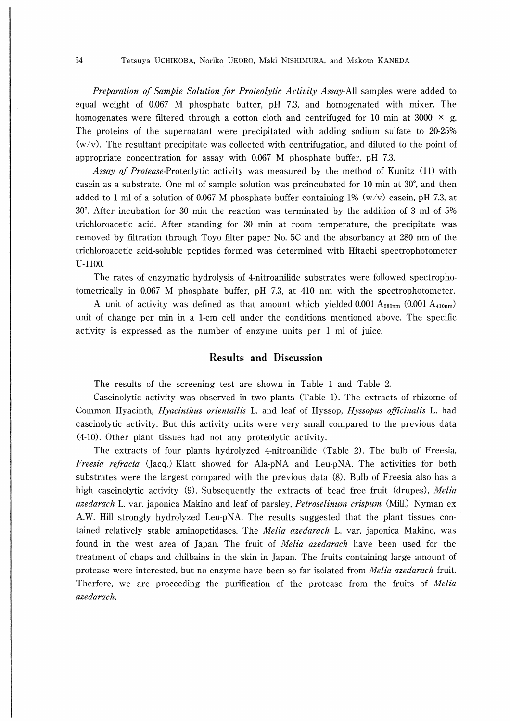Preparation of Sample Solution for Proteolytic Activity Assay-All samples were added to equal weight of 0.067 M phosphate butter, pH 7.3, and homogenated with mixer. The homogenates were filtered through a cotton cloth and centrifuged for 10 min at 3000  $\times$  g. The proteins of the supernatant were precipitated with adding sodium sulfate to 20-25%  $(w/v)$ . The resultant precipitate was collected with centrifugation, and diluted to the point of appropriate concentration for assay with 0.067 M phosphate buffer, pH 7.3.

Assay of Protease-Proteolytic activity was measured by the method of Kunitz (ll) with casein as a substrate. One ml of sample solution was preincubated for  $10$  min at  $30^{\circ}$ , and then added to 1 ml of a solution of 0.067 M phosphate buffer containing 1% (w/v) casein, pH 7.3, at 30. After incubation for 30 min the reaction was terminated by the addition of 3 ml of 5% trichloroacetic acid. After standing for 30 min at room temperature, the precipitate was removed by filtration through Toyo filter paper No. 5C and the absorbancy at 280 nm of the trichloroacetic acid-soluble peptides formed was determined with Hitachi spectrophotometer U-1100.

The rates of enzymatic hydrolysis of 4-nitroanilide substrates were followed spectrophotometrically in 0.067 M phosphate buffer,  $pH$  7.3, at 410 nm with the spectrophotometer.

A unit of activity was defined as that amount which yielded 0.001  $A_{280nm}$  (0.001  $A_{410nm}$ ) unit of change per min in a 1-cm cell under the conditions mentioned above. The specific activity is expressed as the number of enzyme units per 1 ml of juice.

### Results and Discussion

The results of the screening test are shown in Table 1 and Table 2.

Caseinolytic activity was observed in two plants (Table 1). The extracts of rhizome of Common Hyacinth, *Hyacinthus orientailis* L. and leaf of Hyssop, *Hyssopus officinalis* L. had caseinolytic activity. But this activity units were very small compared to the previous data (4-10). Other plant tissues had not any proteolytic activity.

The extracts of four plants hydrolyzed 4-nitroanilide (Table 2). The bulb of Freesia, Freesia refracta (Jacq.) Klatt showed for Ala-PNA and Leu-PNA. The activities for both substrates were the largest compared with the previous data (8). Bulb of Freesia also has a high caseinolytic activity (9). Subsequently the extracts of bead free fruit (drupes), Melia azedarach L. var. japonica Makino and leaf of parsley, *Petroselinum crispum* (Mill.) Nyman ex A.W. Hill strongly hydrolyzed Leu-PNA. The results suggested that the plant tissues contained relatively stable aminopetidases. The *Melia azedarach* L. var. japonica Makino, was found in the west area of Japan. The fruit of Melia azedarach have been used for the treatment of chaps and chilbains in the skin in Japan. The fruits containing large amount of protease were interested, but no enzyme have been so far isolated from Melia azedarach fruit. Therfore, we are proceeding the purification of the protease from the fruits of *Melia* azedarach.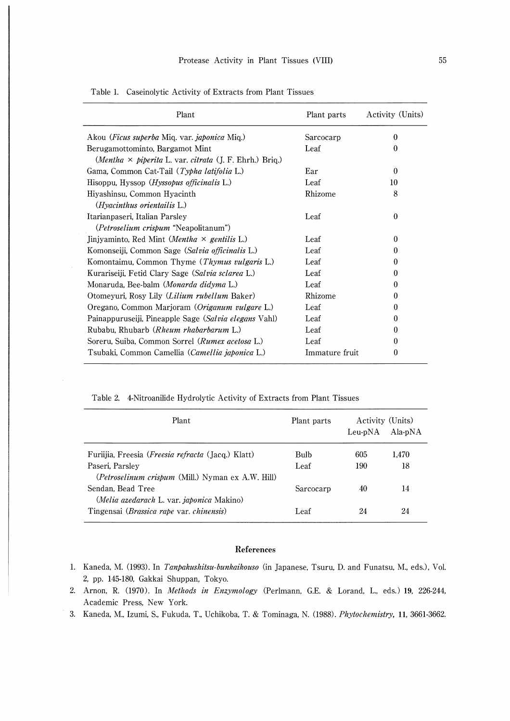| Plant                                                                  | Plant parts    | Activity (Units) |
|------------------------------------------------------------------------|----------------|------------------|
| Akou ( <i>Ficus superba Miq. var. japonica Miq.</i> )                  | Sarcocarp      | $\Omega$         |
| Berugamottominto, Bargamot Mint                                        | Leaf           | $\theta$         |
| (Mentha $\times$ piperita L. var. citrata (J. F. Ehrh.) Briq.)         |                |                  |
| Gama, Common Cat-Tail (Typha latifolia L.)                             | Ear            | $\Omega$         |
| Hisoppu, Hyssop ( <i>Hyssopus officinalis</i> L.)                      | Leaf           | 10               |
| Hiyashinsu, Common Hyacinth                                            | Rhizome        | 8                |
| (Hyacinthus orientailis L.)                                            |                |                  |
| Itarianpaseri, Italian Parsley                                         | Leaf           | $\theta$         |
| (Petroselium crispum "Neapolitanum")                                   |                |                  |
| Jinjyaminto, Red Mint ( <i>Mentha <math>\times</math> gentilis</i> L.) | Leaf           | 0                |
| Komonseiji, Common Sage (Salvia officinalis L.)                        | Leaf           | 0                |
| Komontaimu, Common Thyme (Thymus vulgaris L.)                          | Leaf           | 0                |
| Kurariseiji, Fetid Clary Sage (Salvia sclarea L.)                      | Leaf           | 0                |
| Monaruda, Bee-balm ( <i>Monarda didyma</i> L.)                         | Leaf           | 0                |
| Otomeyuri, Rosy Lily ( <i>Lilium rubellum</i> Baker)                   | Rhizome        | 0                |
| Oregano, Common Marjoram (Origanum vulgare L.)                         | Leaf           | 0                |
| Painappuruseiji, Pineapple Sage (Salvia elegans Vahl)                  | Leaf           | 0                |
| Rubabu, Rhubarb ( <i>Rheum rhabarbarum L.</i> )                        | Leaf           | 0                |
| Soreru, Suiba, Common Sorrel (Rumex acetosa L.)                        | Leaf           | 0                |
| Tsubaki, Common Camellia ( <i>Camellia japonica</i> L.)                | Immature fruit | 0                |

Table 1. Caseinolytic Activity of Extracts from Plant Tissues

Table 2. 4-Nitroanilide Hydrolytic Activity of Extracts from Plant Tissues

| Plant                                                                  | Plant parts | Leu-pNA | Activity (Units)<br>Ala-pNA |
|------------------------------------------------------------------------|-------------|---------|-----------------------------|
| Furiijia, Freesia ( <i>Freesia refracta</i> (Jacq.) Klatt)             | Bulb        | 605     | 1.470                       |
| Paseri. Parsley<br>(Petroselinum crispum (Mill.) Nyman ex A.W. Hill)   | Leaf        | 190     | 18                          |
| Sendan. Bead Tree<br>( <i>Melia azedarach L. var. japonica</i> Makino) | Sarcocarp   | 40      | 14                          |
| Tingensai ( <i>Brassica rape var. chinensis</i> )                      | Leaf        | 24      | 24                          |

#### References

- 1. Kaneda, M. (1993). In Tanpakushitsu-bunkaikouso (in Japanese, Tsuru, D. and Funatsu, M., eds.), Vol. 2, pp. 145-180, Gakkai Shuppan, Tokyo.
- 2. Arnon, R. (1970). In Methods in Enzymology (Perlmann, G.E. & Lorand, L, eds.) 19, 226-244, Academic Press, New York.
- 3. Kaneda, M., Izumi, S., Fukuda, T., Uchikoba, T. & Tominaga, N. (1988). Phytochemistry, 11, 3661-3662.